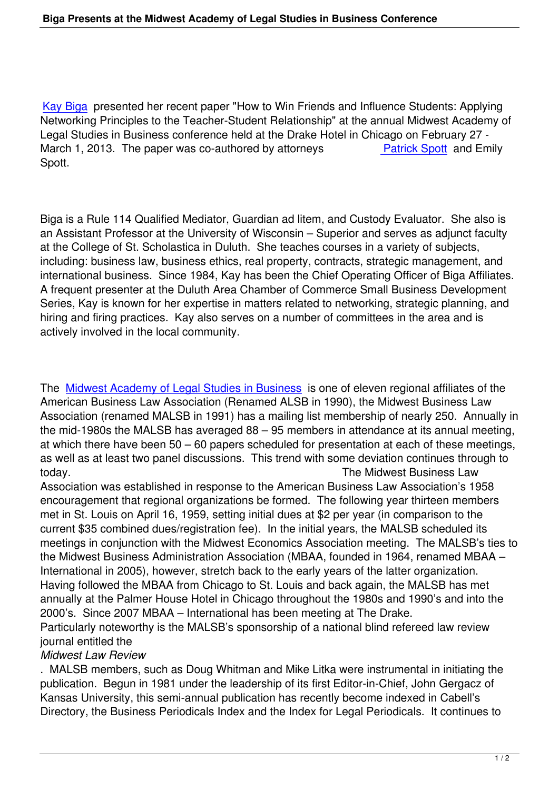Kay Biga presented her recent paper "How to Win Friends and Influence Students: Applying Networking Principles to the Teacher-Student Relationship" at the annual Midwest Academy of Legal Studies in Business conference held at the Drake Hotel in Chicago on February 27 - [March 1, 2](profiles/kay-biga)013. The paper was co-authored by attorneys **Patrick Spott** and Emily Spott.

Biga is a Rule 114 Qualified Mediator, Guardian ad litem, and Custody Evaluator. She also is an Assistant Professor at the University of Wisconsin – Superior and serves as adjunct faculty at the College of St. Scholastica in Duluth. She teaches courses in a variety of subjects, including: business law, business ethics, real property, contracts, strategic management, and international business. Since 1984, Kay has been the Chief Operating Officer of Biga Affiliates. A frequent presenter at the Duluth Area Chamber of Commerce Small Business Development Series, Kay is known for her expertise in matters related to networking, strategic planning, and hiring and firing practices. Kay also serves on a number of committees in the area and is actively involved in the local community.

The Midwest Academy of Legal Studies in Business is one of eleven regional affiliates of the American Business Law Association (Renamed ALSB in 1990), the Midwest Business Law Association (renamed MALSB in 1991) has a mailing list membership of nearly 250. Annually in the [mid-1980s the MALSB has averaged 88 – 95 me](http://www.malsb.org/)mbers in attendance at its annual meeting, at which there have been 50 – 60 papers scheduled for presentation at each of these meetings, as well as at least two panel discussions. This trend with some deviation continues through to today. The Midwest Business Law

Association was established in response to the American Business Law Association's 1958 encouragement that regional organizations be formed. The following year thirteen members met in St. Louis on April 16, 1959, setting initial dues at \$2 per year (in comparison to the current \$35 combined dues/registration fee). In the initial years, the MALSB scheduled its meetings in conjunction with the Midwest Economics Association meeting. The MALSB's ties to the Midwest Business Administration Association (MBAA, founded in 1964, renamed MBAA – International in 2005), however, stretch back to the early years of the latter organization. Having followed the MBAA from Chicago to St. Louis and back again, the MALSB has met annually at the Palmer House Hotel in Chicago throughout the 1980s and 1990's and into the 2000's. Since 2007 MBAA – International has been meeting at The Drake. Particularly noteworthy is the MALSB's sponsorship of a national blind refereed law review journal entitled the

## *Midwest Law Review*

. MALSB members, such as Doug Whitman and Mike Litka were instrumental in initiating the publication. Begun in 1981 under the leadership of its first Editor-in-Chief, John Gergacz of Kansas University, this semi-annual publication has recently become indexed in Cabell's Directory, the Business Periodicals Index and the Index for Legal Periodicals. It continues to